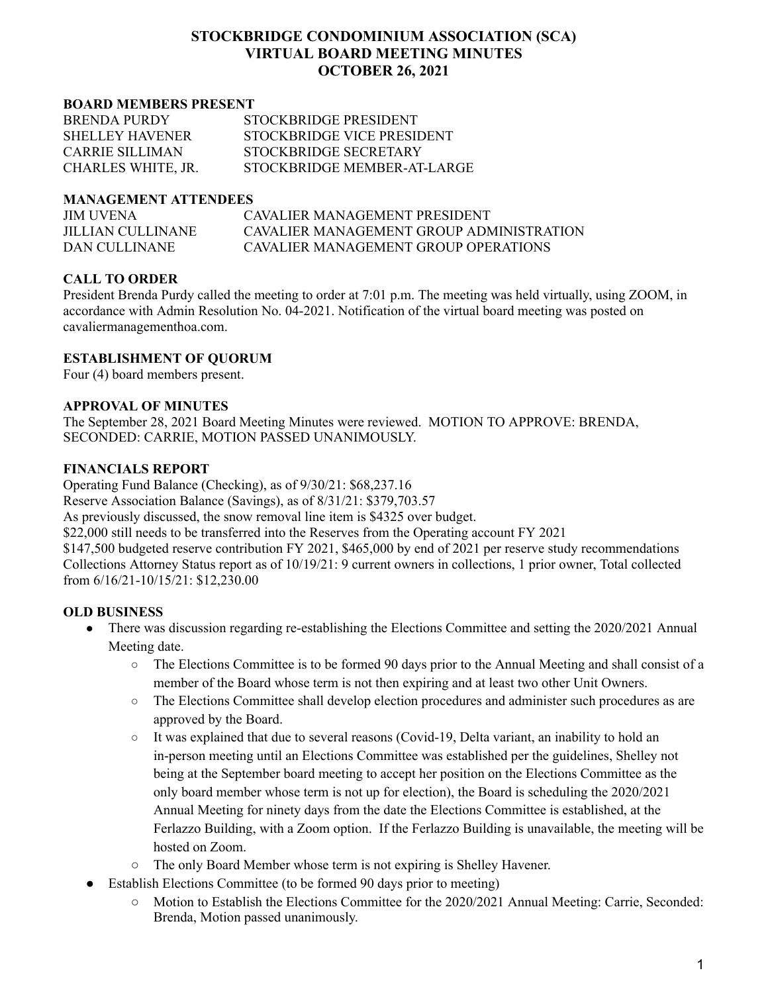# **STOCKBRIDGE CONDOMINIUM ASSOCIATION (SCA) VIRTUAL BOARD MEETING MINUTES OCTOBER 26, 2021**

#### **BOARD MEMBERS PRESENT**

| <b>BRENDA PURDY</b>    | STOCKBRIDGE PRESIDENT       |
|------------------------|-----------------------------|
| <b>SHELLEY HAVENER</b> | STOCKBRIDGE VICE PRESIDENT  |
| CARRIE SILLIMAN        | STOCKBRIDGE SECRETARY       |
| CHARLES WHITE, JR.     | STOCKBRIDGE MEMBER-AT-LARGE |

#### **MANAGEMENT ATTENDEES**

| <b>JIM UVENA</b>  | CAVALIER MANAGEMENT PRESIDENT            |
|-------------------|------------------------------------------|
| JILLIAN CULLINANE | CAVALIER MANAGEMENT GROUP ADMINISTRATION |
| DAN CULLINANE     | CAVALIER MANAGEMENT GROUP OPER ATIONS    |

## **CALL TO ORDER**

President Brenda Purdy called the meeting to order at 7:01 p.m. The meeting was held virtually, using ZOOM, in accordance with Admin Resolution No. 04-2021. Notification of the virtual board meeting was posted on cavaliermanagementhoa.com.

## **ESTABLISHMENT OF QUORUM**

Four (4) board members present.

#### **APPROVAL OF MINUTES**

The September 28, 2021 Board Meeting Minutes were reviewed. MOTION TO APPROVE: BRENDA, SECONDED: CARRIE, MOTION PASSED UNANIMOUSLY.

## **FINANCIALS REPORT**

Operating Fund Balance (Checking), as of 9/30/21: \$68,237.16

Reserve Association Balance (Savings), as of 8/31/21: \$379,703.57

As previously discussed, the snow removal line item is \$4325 over budget.

\$22,000 still needs to be transferred into the Reserves from the Operating account FY 2021

\$147,500 budgeted reserve contribution FY 2021, \$465,000 by end of 2021 per reserve study recommendations Collections Attorney Status report as of 10/19/21: 9 current owners in collections, 1 prior owner, Total collected from 6/16/21-10/15/21: \$12,230.00

## **OLD BUSINESS**

- There was discussion regarding re-establishing the Elections Committee and setting the 2020/2021 Annual Meeting date.
	- The Elections Committee is to be formed 90 days prior to the Annual Meeting and shall consist of a member of the Board whose term is not then expiring and at least two other Unit Owners.
	- The Elections Committee shall develop election procedures and administer such procedures as are approved by the Board.
	- It was explained that due to several reasons (Covid-19, Delta variant, an inability to hold an in-person meeting until an Elections Committee was established per the guidelines, Shelley not being at the September board meeting to accept her position on the Elections Committee as the only board member whose term is not up for election), the Board is scheduling the 2020/2021 Annual Meeting for ninety days from the date the Elections Committee is established, at the Ferlazzo Building, with a Zoom option. If the Ferlazzo Building is unavailable, the meeting will be hosted on Zoom.
	- **○** The only Board Member whose term is not expiring is Shelley Havener.
- Establish Elections Committee (to be formed 90 days prior to meeting)
	- Motion to Establish the Elections Committee for the 2020/2021 Annual Meeting: Carrie, Seconded: Brenda, Motion passed unanimously.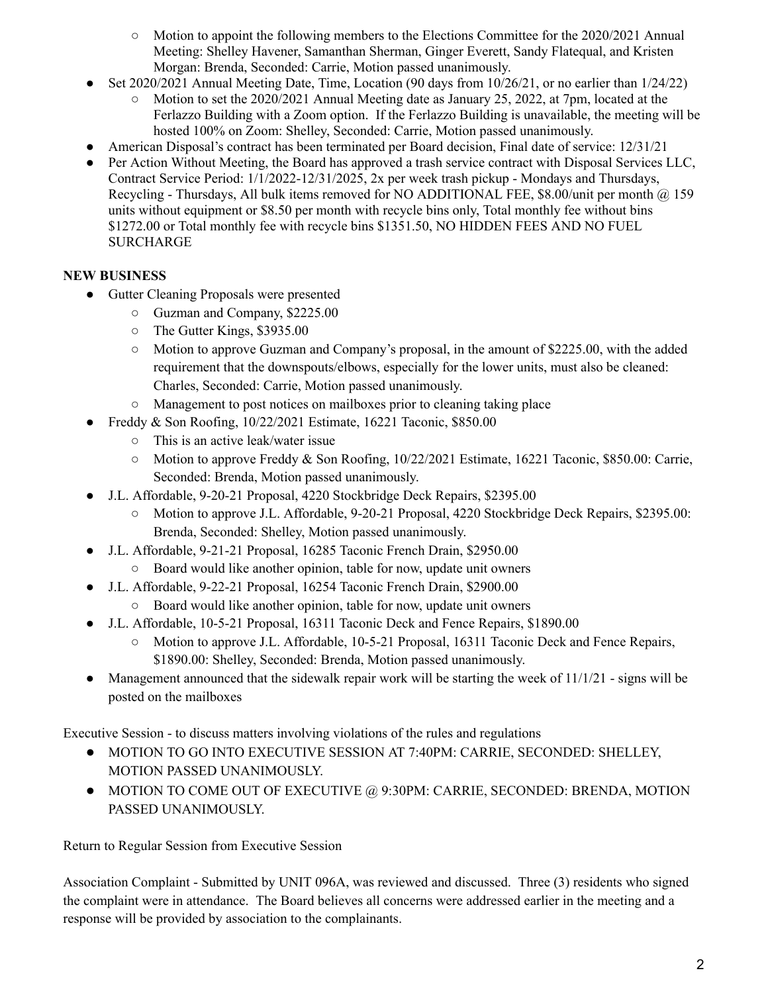- $\circ$  Motion to appoint the following members to the Elections Committee for the 2020/2021 Annual Meeting: Shelley Havener, Samanthan Sherman, Ginger Everett, Sandy Flatequal, and Kristen Morgan: Brenda, Seconded: Carrie, Motion passed unanimously.
- Set 2020/2021 Annual Meeting Date, Time, Location (90 days from  $10/26/21$ , or no earlier than  $1/24/22$ )
	- Motion to set the  $2020/2021$  Annual Meeting date as January 25, 2022, at 7pm, located at the Ferlazzo Building with a Zoom option. If the Ferlazzo Building is unavailable, the meeting will be hosted 100% on Zoom: Shelley, Seconded: Carrie, Motion passed unanimously.
- American Disposal's contract has been terminated per Board decision, Final date of service: 12/31/21
- Per Action Without Meeting, the Board has approved a trash service contract with Disposal Services LLC, Contract Service Period: 1/1/2022-12/31/2025, 2x per week trash pickup - Mondays and Thursdays, Recycling - Thursdays, All bulk items removed for NO ADDITIONAL FEE, \$8.00/unit per month @ 159 units without equipment or \$8.50 per month with recycle bins only, Total monthly fee without bins \$1272.00 or Total monthly fee with recycle bins \$1351.50, NO HIDDEN FEES AND NO FUEL SURCHARGE

# **NEW BUSINESS**

- Gutter Cleaning Proposals were presented
	- Guzman and Company, \$2225.00
	- The Gutter Kings, \$3935.00
	- Motion to approve Guzman and Company's proposal, in the amount of \$2225.00, with the added requirement that the downspouts/elbows, especially for the lower units, must also be cleaned: Charles, Seconded: Carrie, Motion passed unanimously.
	- Management to post notices on mailboxes prior to cleaning taking place
- Freddy & Son Roofing, 10/22/2021 Estimate, 16221 Taconic, \$850.00
	- This is an active leak/water issue
	- Motion to approve Freddy & Son Roofing, 10/22/2021 Estimate, 16221 Taconic, \$850.00: Carrie, Seconded: Brenda, Motion passed unanimously.
- J.L. Affordable, 9-20-21 Proposal, 4220 Stockbridge Deck Repairs, \$2395.00
	- **○** Motion to approve J.L. Affordable, 9-20-21 Proposal, 4220 Stockbridge Deck Repairs, \$2395.00: Brenda, Seconded: Shelley, Motion passed unanimously.
- **●** J.L. Affordable, 9-21-21 Proposal, 16285 Taconic French Drain, \$2950.00
	- Board would like another opinion, table for now, update unit owners
- **●** J.L. Affordable, 9-22-21 Proposal, 16254 Taconic French Drain, \$2900.00
	- **○** Board would like another opinion, table for now, update unit owners
- J.L. Affordable, 10-5-21 Proposal, 16311 Taconic Deck and Fence Repairs, \$1890.00
	- Motion to approve J.L. Affordable, 10-5-21 Proposal, 16311 Taconic Deck and Fence Repairs, \$1890.00: Shelley, Seconded: Brenda, Motion passed unanimously.
- Management announced that the sidewalk repair work will be starting the week of  $11/1/21$  signs will be posted on the mailboxes

Executive Session - to discuss matters involving violations of the rules and regulations

- MOTION TO GO INTO EXECUTIVE SESSION AT 7:40PM: CARRIE, SECONDED: SHELLEY, MOTION PASSED UNANIMOUSLY.
- MOTION TO COME OUT OF EXECUTIVE @ 9:30PM: CARRIE, SECONDED: BRENDA, MOTION PASSED UNANIMOUSLY.

Return to Regular Session from Executive Session

Association Complaint - Submitted by UNIT 096A, was reviewed and discussed. Three (3) residents who signed the complaint were in attendance. The Board believes all concerns were addressed earlier in the meeting and a response will be provided by association to the complainants.